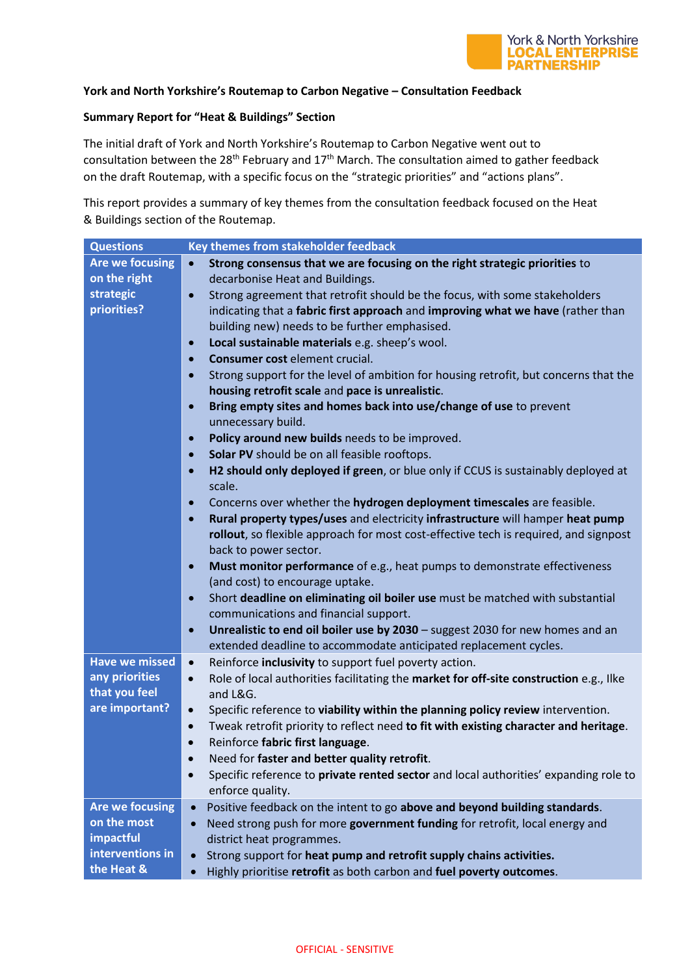

## **York and North Yorkshire's Routemap to Carbon Negative – Consultation Feedback**

## **Summary Report for "Heat & Buildings" Section**

The initial draft of York and North Yorkshire's Routemap to Carbon Negative went out to consultation between the 28<sup>th</sup> February and  $17<sup>th</sup>$  March. The consultation aimed to gather feedback on the draft Routemap, with a specific focus on the "strategic priorities" and "actions plans".

This report provides a summary of key themes from the consultation feedback focused on the Heat & Buildings section of the Routemap.

| <b>Questions</b>       | Key themes from stakeholder feedback                                                                          |
|------------------------|---------------------------------------------------------------------------------------------------------------|
| <b>Are we focusing</b> | Strong consensus that we are focusing on the right strategic priorities to<br>$\bullet$                       |
| on the right           | decarbonise Heat and Buildings.                                                                               |
| strategic              | Strong agreement that retrofit should be the focus, with some stakeholders<br>$\bullet$                       |
| priorities?            | indicating that a fabric first approach and improving what we have (rather than                               |
|                        | building new) needs to be further emphasised.                                                                 |
|                        | Local sustainable materials e.g. sheep's wool.<br>$\bullet$                                                   |
|                        | Consumer cost element crucial.<br>$\bullet$                                                                   |
|                        | Strong support for the level of ambition for housing retrofit, but concerns that the<br>$\bullet$             |
|                        | housing retrofit scale and pace is unrealistic.                                                               |
|                        | Bring empty sites and homes back into use/change of use to prevent<br>$\bullet$                               |
|                        | unnecessary build.                                                                                            |
|                        | Policy around new builds needs to be improved.<br>$\bullet$                                                   |
|                        | Solar PV should be on all feasible rooftops.<br>$\bullet$                                                     |
|                        | H2 should only deployed if green, or blue only if CCUS is sustainably deployed at<br>$\bullet$<br>scale.      |
|                        | Concerns over whether the hydrogen deployment timescales are feasible.                                        |
|                        | $\bullet$                                                                                                     |
|                        | Rural property types/uses and electricity infrastructure will hamper heat pump<br>$\bullet$                   |
|                        | rollout, so flexible approach for most cost-effective tech is required, and signpost<br>back to power sector. |
|                        | Must monitor performance of e.g., heat pumps to demonstrate effectiveness<br>$\bullet$                        |
|                        | (and cost) to encourage uptake.                                                                               |
|                        | Short deadline on eliminating oil boiler use must be matched with substantial<br>$\bullet$                    |
|                        | communications and financial support.                                                                         |
|                        | Unrealistic to end oil boiler use by 2030 - suggest 2030 for new homes and an<br>$\bullet$                    |
|                        | extended deadline to accommodate anticipated replacement cycles.                                              |
| <b>Have we missed</b>  | Reinforce inclusivity to support fuel poverty action.<br>$\bullet$                                            |
| any priorities         | Role of local authorities facilitating the market for off-site construction e.g., Ilke<br>$\bullet$           |
| that you feel          | and L&G.                                                                                                      |
| are important?         | Specific reference to viability within the planning policy review intervention.<br>$\bullet$                  |
|                        | Tweak retrofit priority to reflect need to fit with existing character and heritage.<br>$\bullet$             |
|                        | Reinforce fabric first language.<br>$\bullet$                                                                 |
|                        | Need for faster and better quality retrofit.                                                                  |
|                        | Specific reference to private rented sector and local authorities' expanding role to<br>$\bullet$             |
|                        | enforce quality.                                                                                              |
| <b>Are we focusing</b> | Positive feedback on the intent to go above and beyond building standards.<br>$\bullet$                       |
| on the most            | Need strong push for more government funding for retrofit, local energy and<br>$\bullet$                      |
| impactful              | district heat programmes.                                                                                     |
| interventions in       | Strong support for heat pump and retrofit supply chains activities.<br>$\bullet$                              |
| the Heat &             | Highly prioritise retrofit as both carbon and fuel poverty outcomes.<br>$\bullet$                             |
|                        |                                                                                                               |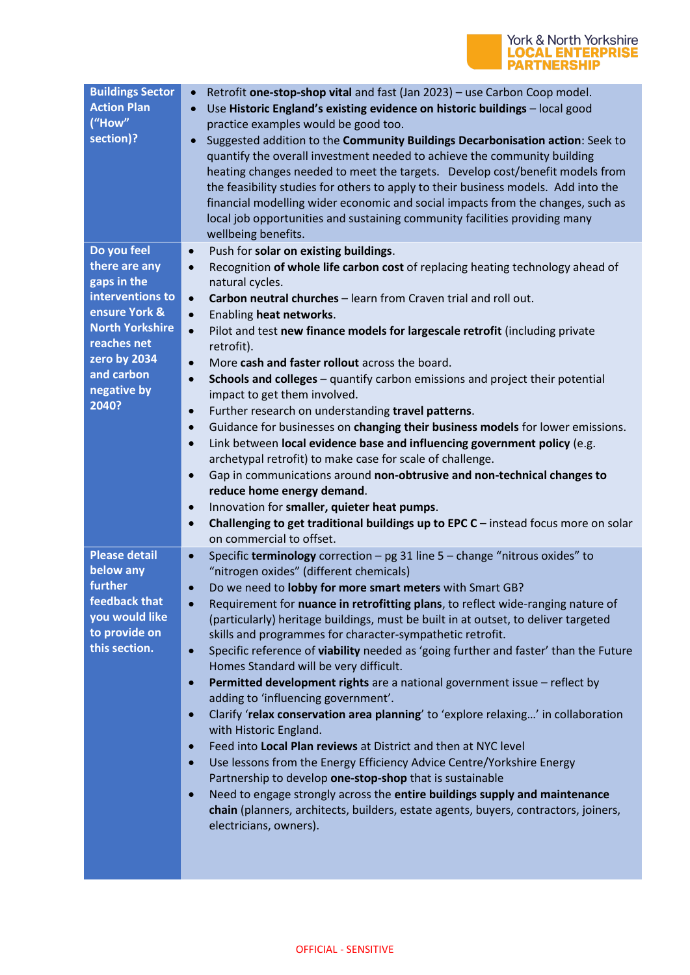

| <b>Buildings Sector</b><br><b>Action Plan</b><br>("How"<br>section)?                                              | Retrofit one-stop-shop vital and fast (Jan 2023) - use Carbon Coop model.<br>$\bullet$<br>Use Historic England's existing evidence on historic buildings - local good<br>$\bullet$<br>practice examples would be good too.<br>Suggested addition to the Community Buildings Decarbonisation action: Seek to<br>$\bullet$<br>quantify the overall investment needed to achieve the community building<br>heating changes needed to meet the targets. Develop cost/benefit models from<br>the feasibility studies for others to apply to their business models. Add into the<br>financial modelling wider economic and social impacts from the changes, such as<br>local job opportunities and sustaining community facilities providing many<br>wellbeing benefits.                                                                                                                                                                                                                                                                                                                                                                                                                                                                                                                                          |
|-------------------------------------------------------------------------------------------------------------------|-------------------------------------------------------------------------------------------------------------------------------------------------------------------------------------------------------------------------------------------------------------------------------------------------------------------------------------------------------------------------------------------------------------------------------------------------------------------------------------------------------------------------------------------------------------------------------------------------------------------------------------------------------------------------------------------------------------------------------------------------------------------------------------------------------------------------------------------------------------------------------------------------------------------------------------------------------------------------------------------------------------------------------------------------------------------------------------------------------------------------------------------------------------------------------------------------------------------------------------------------------------------------------------------------------------|
| Do you feel<br>there are any<br>gaps in the<br>interventions to                                                   | Push for solar on existing buildings.<br>$\bullet$<br>Recognition of whole life carbon cost of replacing heating technology ahead of<br>$\bullet$<br>natural cycles.<br>Carbon neutral churches - learn from Craven trial and roll out.<br>$\bullet$                                                                                                                                                                                                                                                                                                                                                                                                                                                                                                                                                                                                                                                                                                                                                                                                                                                                                                                                                                                                                                                        |
| ensure York &<br><b>North Yorkshire</b><br>reaches net<br>zero by 2034<br>and carbon<br>negative by<br>2040?      | Enabling heat networks.<br>$\bullet$<br>Pilot and test new finance models for largescale retrofit (including private<br>$\bullet$<br>retrofit).<br>More cash and faster rollout across the board.<br>$\bullet$<br>Schools and colleges - quantify carbon emissions and project their potential<br>$\bullet$<br>impact to get them involved.<br>Further research on understanding travel patterns.<br>$\bullet$<br>Guidance for businesses on changing their business models for lower emissions.<br>$\bullet$<br>Link between local evidence base and influencing government policy (e.g.<br>$\bullet$<br>archetypal retrofit) to make case for scale of challenge.<br>Gap in communications around non-obtrusive and non-technical changes to<br>$\bullet$<br>reduce home energy demand.                                                                                                                                                                                                                                                                                                                                                                                                                                                                                                                   |
|                                                                                                                   | Innovation for smaller, quieter heat pumps.<br>$\bullet$<br>Challenging to get traditional buildings up to EPC $C$ – instead focus more on solar<br>$\bullet$<br>on commercial to offset.                                                                                                                                                                                                                                                                                                                                                                                                                                                                                                                                                                                                                                                                                                                                                                                                                                                                                                                                                                                                                                                                                                                   |
| <b>Please detail</b><br>below any<br>further<br>feedback that<br>you would like<br>to provide on<br>this section. | Specific terminology correction - pg 31 line 5 - change "nitrous oxides" to<br>$\bullet$<br>"nitrogen oxides" (different chemicals)<br>Do we need to lobby for more smart meters with Smart GB?<br>$\bullet$<br>Requirement for nuance in retrofitting plans, to reflect wide-ranging nature of<br>(particularly) heritage buildings, must be built in at outset, to deliver targeted<br>skills and programmes for character-sympathetic retrofit.<br>Specific reference of viability needed as 'going further and faster' than the Future<br>$\bullet$<br>Homes Standard will be very difficult.<br>Permitted development rights are a national government issue - reflect by<br>$\bullet$<br>adding to 'influencing government'.<br>Clarify 'relax conservation area planning' to 'explore relaxing' in collaboration<br>$\bullet$<br>with Historic England.<br>Feed into Local Plan reviews at District and then at NYC level<br>$\bullet$<br>Use lessons from the Energy Efficiency Advice Centre/Yorkshire Energy<br>$\bullet$<br>Partnership to develop one-stop-shop that is sustainable<br>Need to engage strongly across the entire buildings supply and maintenance<br>$\bullet$<br>chain (planners, architects, builders, estate agents, buyers, contractors, joiners,<br>electricians, owners). |